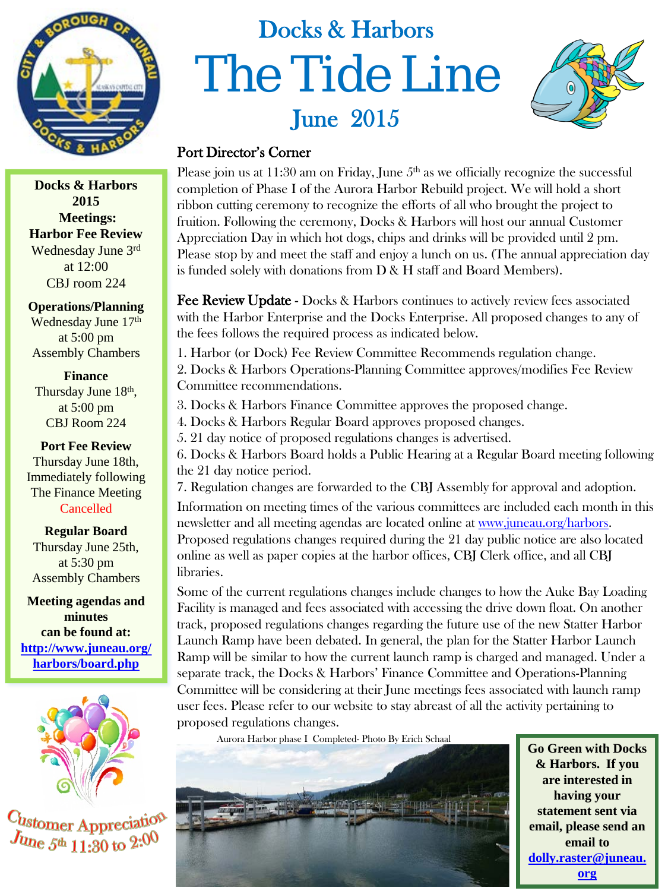

**Docks & Harbors 2015 Meetings: Harbor Fee Review** Wednesday June 3rd at 12:00 CBJ room 224

**Operations/Planning** Wednesday June 17<sup>th</sup> at 5:00 pm Assembly Chambers

**Finance**  Thursday June 18<sup>th</sup>, at 5:00 pm CBJ Room 224

**Port Fee Review**  Thursday June 18th, Immediately following The Finance Meeting Cancelled

**Regular Board** Thursday June 25th, at 5:30 pm Assembly Chambers

**Meeting agendas and minutes can be found at: [http://www.juneau.org/](http://www.juneau.org/harbors/board.php) [harbors/board.php](http://www.juneau.org/harbors/board.php)**



Customer Appreciati  $J_{\text{Unc}}$   $5^{\text{th}}$  11:30 to  $2:0^{\text{O}}$ 

# Docks & Harbors The Tide Line June 2015



#### Port Director's Corner

Please join us at  $11:30$  am on Friday, June  $5<sup>th</sup>$  as we officially recognize the successful completion of Phase I of the Aurora Harbor Rebuild project. We will hold a short ribbon cutting ceremony to recognize the efforts of all who brought the project to fruition. Following the ceremony, Docks & Harbors will host our annual Customer Appreciation Day in which hot dogs, chips and drinks will be provided until 2 pm. Please stop by and meet the staff and enjoy a lunch on us. (The annual appreciation day is funded solely with donations from D & H staff and Board Members).

Fee Review Update - Docks & Harbors continues to actively review fees associated with the Harbor Enterprise and the Docks Enterprise. All proposed changes to any of the fees follows the required process as indicated below.

1. Harbor (or Dock) Fee Review Committee Recommends regulation change. 2. Docks & Harbors Operations-Planning Committee approves/modifies Fee Review Committee recommendations.

3. Docks & Harbors Finance Committee approves the proposed change.

4. Docks & Harbors Regular Board approves proposed changes.

5. 21 day notice of proposed regulations changes is advertised.

6. Docks & Harbors Board holds a Public Hearing at a Regular Board meeting following the 21 day notice period.

7. Regulation changes are forwarded to the CBJ Assembly for approval and adoption. Information on meeting times of the various committees are included each month in this newsletter and all meeting agendas are located online at [www.juneau.org/harbors.](http://www.juneau.org/harbors) Proposed regulations changes required during the 21 day public notice are also located online as well as paper copies at the harbor offices, CBJ Clerk office, and all CBJ libraries.

Some of the current regulations changes include changes to how the Auke Bay Loading Facility is managed and fees associated with accessing the drive down float. On another track, proposed regulations changes regarding the future use of the new Statter Harbor Launch Ramp have been debated. In general, the plan for the Statter Harbor Launch Ramp will be similar to how the current launch ramp is charged and managed. Under a separate track, the Docks & Harbors' Finance Committee and Operations-Planning Committee will be considering at their June meetings fees associated with launch ramp user fees. Please refer to our website to stay abreast of all the activity pertaining to proposed regulations changes.

Aurora Harbor phase I Completed- Photo By Erich Schaal



**Go Green with Docks & Harbors. If you are interested in having your statement sent via email, please send an email to [dolly.raster@juneau.](mailto:dolly.raster@juneau.org) [org](mailto:dolly.raster@juneau.org)**